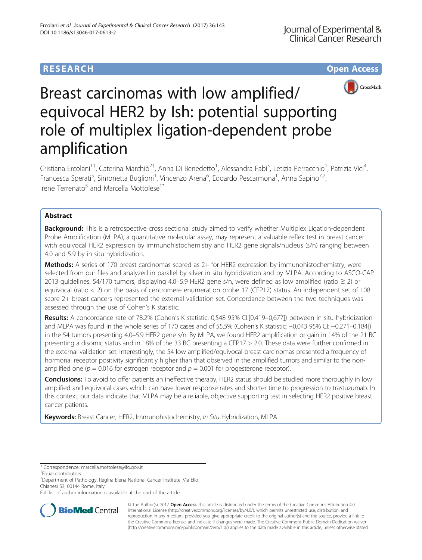# **RESEARCH CHE Open Access**



# Breast carcinomas with low amplified/ equivocal HER2 by Ish: potential supporting role of multiplex ligation-dependent probe amplification

Cristiana Ercolani<sup>1†</sup>, Caterina Marchiò<sup>2†</sup>, Anna Di Benedetto<sup>1</sup>, Alessandra Fabi<sup>3</sup>, Letizia Perracchio<sup>1</sup>, Patrizia Vici<sup>4</sup> , Francesca Sperati<sup>5</sup>, Simonetta Buglioni<sup>1</sup>, Vincenzo Arena<sup>6</sup>, Edoardo Pescarmona<sup>1</sup>, Anna Sapino<sup>7,2</sup>, Irene Terrenato<sup>5</sup> and Marcella Mottolese<sup>1\*</sup>

# Abstract

Background: This is a retrospective cross sectional study aimed to verify whether Multiplex Ligation-dependent Probe Amplification (MLPA), a quantitative molecular assay, may represent a valuable reflex test in breast cancer with equivocal HER2 expression by immunohistochemistry and HER2 gene signals/nucleus (s/n) ranging between 4.0 and 5.9 by in situ hybridization.

**Methods:** A series of 170 breast carcinomas scored as 2+ for HER2 expression by immunohistochemistry, were selected from our files and analyzed in parallel by silver in situ hybridization and by MLPA. According to ASCO-CAP 2013 guidelines, 54/170 tumors, displaying 4.0–5.9 HER2 gene s/n, were defined as low amplified (ratio ≥ 2) or equivocal (ratio < 2) on the basis of centromere enumeration probe 17 (CEP17) status. An independent set of 108 score 2+ breast cancers represented the external validation set. Concordance between the two techniques was assessed through the use of Cohen's K statistic.

Results: A concordance rate of 78.2% (Cohen's K statistic: 0,548 95% CI:[0,419–0,677]) between in situ hybridization and MLPA was found in the whole series of 170 cases and of 55.5% (Cohen's K statistic: −0,043 95% CI:[−0,271–0,184]) in the 54 tumors presenting 4.0–5.9 HER2 gene s/n. By MLPA, we found HER2 amplification or gain in 14% of the 21 BC presenting a disomic status and in 18% of the 33 BC presenting a CEP17 > 2.0. These data were further confirmed in the external validation set. Interestingly, the 54 low amplified/equivocal breast carcinomas presented a frequency of hormonal receptor positivity significantly higher than that observed in the amplified tumors and similar to the nonamplified one ( $p = 0.016$  for estrogen receptor and  $p = 0.001$  for progesterone receptor).

Conclusions: To avoid to offer patients an ineffective therapy, HER2 status should be studied more thoroughly in low amplified and equivocal cases which can have lower response rates and shorter time to progression to trastuzumab. In this context, our data indicate that MLPA may be a reliable, objective supporting test in selecting HER2 positive breast cancer patients.

Keywords: Breast Cancer, HER2, Immunohistochemistry, In Situ Hybridization, MLPA

<sup>1</sup>Department of Pathology, Regina Elena National Cancer Institute, Via Elio Chianesi 53, 00144 Rome, Italy

Full list of author information is available at the end of the article



© The Author(s). 2017 **Open Access** This article is distributed under the terms of the Creative Commons Attribution 4.0 International License [\(http://creativecommons.org/licenses/by/4.0/](http://creativecommons.org/licenses/by/4.0/)), which permits unrestricted use, distribution, and reproduction in any medium, provided you give appropriate credit to the original author(s) and the source, provide a link to the Creative Commons license, and indicate if changes were made. The Creative Commons Public Domain Dedication waiver [\(http://creativecommons.org/publicdomain/zero/1.0/](http://creativecommons.org/publicdomain/zero/1.0/)) applies to the data made available in this article, unless otherwise stated.

<sup>\*</sup> Correspondence: [marcella.mottolese@ifo.gov.it](mailto:marcella.mottolese@ifo.gov.it) †

Equal contributors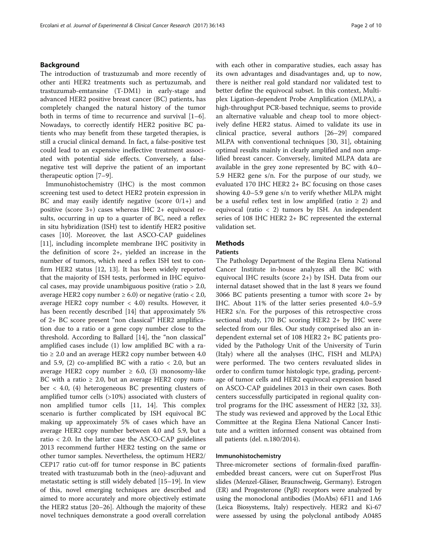# Background

The introduction of trastuzumab and more recently of other anti HER2 treatments such as pertuzumab, and trastuzumab-emtansine (T-DM1) in early-stage and advanced HER2 positive breast cancer (BC) patients, has completely changed the natural history of the tumor both in terms of time to recurrence and survival [\[1](#page-8-0)–[6](#page-8-0)]. Nowadays, to correctly identify HER2 positive BC patients who may benefit from these targeted therapies, is still a crucial clinical demand. In fact, a false-positive test could lead to an expensive ineffective treatment associated with potential side effects. Conversely, a falsenegative test will deprive the patient of an important therapeutic option [\[7](#page-8-0)–[9](#page-8-0)].

Immunohistochemistry (IHC) is the most common screening test used to detect HER2 protein expression in BC and may easily identify negative (score  $0/1+$ ) and positive (score 3+) cases whereas IHC 2+ equivocal results, occurring in up to a quarter of BC, need a reflex in situ hybridization (ISH) test to identify HER2 positive cases [[10\]](#page-8-0). Moreover, the last ASCO-CAP guidelines [[11\]](#page-8-0), including incomplete membrane IHC positivity in the definition of score 2+, yielded an increase in the number of tumors, which need a reflex ISH test to confirm HER2 status [[12](#page-8-0), [13\]](#page-8-0). It has been widely reported that the majority of ISH tests, performed in IHC equivocal cases, may provide unambiguous positive (ratio > 2.0, average HER2 copy number  $\geq 6.0$ ) or negative (ratio < 2.0, average HER2 copy number  $\langle 4.0 \rangle$  results. However, it has been recently described [[14\]](#page-8-0) that approximately 5% of 2+ BC score present "non classical" HER2 amplification due to a ratio or a gene copy number close to the threshold. According to Ballard [\[14\]](#page-8-0), the "non classical" amplified cases include (1) low amplified BC with a ratio  $\geq 2.0$  and an average HER2 copy number between 4.0 and 5.9, (2) co-amplified BC with a ratio  $<$  2.0, but an average HER2 copy number  $\geq$  6.0, (3) monosomy-like BC with a ratio  $\geq 2.0$ , but an average HER2 copy number < 4.0, (4) heterogeneous BC presenting clusters of amplified tumor cells (>10%) associated with clusters of non amplified tumor cells [[11](#page-8-0), [14](#page-8-0)]. This complex scenario is further complicated by ISH equivocal BC making up approximately 5% of cases which have an average HER2 copy number between 4.0 and 5.9, but a ratio < 2.0. In the latter case the ASCO-CAP guidelines 2013 recommend further HER2 testing on the same or other tumor samples. Nevertheless, the optimum HER2/ CEP17 ratio cut-off for tumor response in BC patients treated with trastuzumab both in the (neo)-adjuvant and metastatic setting is still widely debated [\[15](#page-8-0)–[19\]](#page-9-0). In view of this, novel emerging techniques are described and aimed to more accurately and more objectively estimate the HER2 status [[20](#page-9-0)–[26](#page-9-0)]. Although the majority of these novel techniques demonstrate a good overall correlation with each other in comparative studies, each assay has its own advantages and disadvantages and, up to now, there is neither real gold standard nor validated test to better define the equivocal subset. In this context, Multiplex Ligation-dependent Probe Amplification (MLPA), a high-throughput PCR-based technique, seems to provide an alternative valuable and cheap tool to more objectively define HER2 status. Aimed to validate its use in clinical practice, several authors [\[26](#page-9-0)–[29\]](#page-9-0) compared MLPA with conventional techniques [[30, 31\]](#page-9-0), obtaining optimal results mainly in clearly amplified and non amplified breast cancer. Conversely, limited MLPA data are available in the grey zone represented by BC with 4.0– 5.9 HER2 gene s/n. For the purpose of our study, we evaluated 170 IHC HER2 2+ BC focusing on those cases showing 4.0–5.9 gene s/n to verify whether MLPA might be a useful reflex test in low amplified (ratio  $\geq$  2) and equivocal (ratio < 2) tumors by ISH. An independent series of 108 IHC HER2 2+ BC represented the external validation set.

# Methods

# Patients

The Pathology Department of the Regina Elena National Cancer Institute in-house analyzes all the BC with equivocal IHC results (score 2+) by ISH. Data from our internal dataset showed that in the last 8 years we found 3066 BC patients presenting a tumor with score 2+ by IHC. About 11% of the latter series presented 4.0–5.9 HER2 s/n. For the purposes of this retrospective cross sectional study, 170 BC scoring HER2 2+ by IHC were selected from our files. Our study comprised also an independent external set of 108 HER2 2+ BC patients provided by the Pathology Unit of the University of Turin (Italy) where all the analyses (IHC, FISH and MLPA) were performed. The two centers revaluated slides in order to confirm tumor histologic type, grading, percentage of tumor cells and HER2 equivocal expression based on ASCO-CAP guidelines 2013 in their own cases. Both centers successfully participated in regional quality control programs for the IHC assessment of HER2 [[32, 33](#page-9-0)]. The study was reviewed and approved by the Local Ethic Committee at the Regina Elena National Cancer Institute and a written informed consent was obtained from all patients (del. n.180/2014).

## Immunohistochemistry

Three-micrometer sections of formalin-fixed paraffinembedded breast cancers, were cut on SuperFrost Plus slides (Menzel-Gläser, Braunschweig, Germany). Estrogen (ER) and Progesterone (PgR) receptors were analyzed by using the monoclonal antibodies (MoAbs) 6F11 and 1A6 (Leica Biosystems, Italy) respectively. HER2 and Ki-67 were assessed by using the polyclonal antibody A0485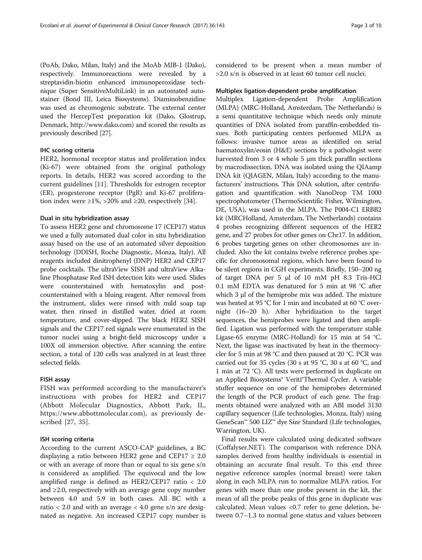(PoAb, Dako, Milan, Italy) and the MoAb MIB-1 (Dako), respectively. Immunoreactions were revealed by a streptavidin-biotin enhanced immunoperoxidase technique (Super SensitiveMultiLink) in an automated autostainer (Bond III, Leica Biosystems). Diaminobenzidine was used as chromogenic substrate. The external center used the HercepTest preparation kit (Dako, Glostrup, Denmark,<http://www.dako.com>) and scored the results as previously described [[27](#page-9-0)].

# IHC scoring criteria

HER2, hormonal receptor status and proliferation index (Ki-67) were obtained from the original pathology reports. In details, HER2 was scored according to the current guidelines [[11\]](#page-8-0). Thresholds for estrogen receptor (ER), progesterone receptor (PgR) and Ki-67 proliferation index were  $\geq 1\%$ ,  $>20\%$  and  $\geq 20$ , respectively [[34](#page-9-0)].

# Dual in situ hybridization assay

To assess HER2 gene and chromosome 17 (CEP17) status we used a fully automated dual color in situ hybridization assay based on the use of an automated silver deposition technology (DDISH, Roche Diagnostic, Monza, Italy). All reagents included dinitrophenyl (DNP) HER2 and CEP17 probe cocktails. The ultraView SISH and ultraView Alkaline Phosphatase Red ISH detection kits were used. Slides were counterstained with hematoxylin and postcounterstained with a bluing reagent. After removal from the instrument, slides were rinsed with mild soap tap water, then rinsed in distilled water, dried at room temperature, and cover-slipped. The black HER2 SISH signals and the CEP17 red signals were enumerated in the tumor nuclei using a bright-field microscopy under a 100X oil immersion objective. After scanning the entire section, a total of 120 cells was analyzed in at least three selected fields.

# FISH assay

FISH was performed according to the manufacturer's instructions with probes for HER2 and CEP17 (Abbott Molecular Diagnostics, Abbott Park, IL, [https://www.abbottmolecular.com\)](https://www.abbottmolecular.com), as previously described [\[27, 35](#page-9-0)].

# ISH scoring criteria

According to the current ASCO-CAP guidelines, a BC displaying a ratio between HER2 gene and CEP17  $\geq 2.0$ or with an average of more than or equal to six gene s/n is considered as amplified. The equivocal and the low amplified range is defined as HER2/CEP17 ratio < 2.0 and ≥2.0, respectively with an average gene copy number between 4.0 and 5.9 in both cases. All BC with a ratio  $<$  2.0 and with an average  $<$  4.0 gene s/n are designated as negative. An increased CEP17 copy number is considered to be present when a mean number of >2.0 s/n is observed in at least 60 tumor cell nuclei.

# Multiplex ligation-dependent probe amplification

Multiplex Ligation-dependent Probe Amplification (MLPA) (MRC-Holland, Amsterdam, The Netherlands) is a semi quantitative technique which needs only minute quantities of DNA isolated from paraffin-embedded tissues. Both participating centers performed MLPA as follows: invasive tumor areas as identified on serial haematoxylin/eosin (H&E) sections by a pathologist were harvested from 3 or 4 whole 5 μm thick paraffin sections by macrodissection. DNA was isolated using the QIAamp DNA kit (QIAGEN, Milan, Italy) according to the manufacturers' instructions. This DNA solution, after centrifugation and quantification with NanoDrop TM 1000 spectrophotometer (ThermoScientific Fisher, Wilmington, DE, USA), was used in the MLPA. The P004-C1 ERBB2 kit (MRCHolland, Amsterdam, The Netherlands) contains 4 probes recognizing different sequences of the HER2 gene, and 27 probes for other genes on Chr17. In addition, 6 probes targeting genes on other chromosomes are included. Also the kit contains twelve reference probes specific for chromosomal regions, which have been found to be silent regions in CGH experiments. Briefly, 150–200 ng of target DNA per 5 μl of 10 mM pH 8.3 Tris-HCl 0.1 mM EDTA was denatured for 5 min at 98 °C after which 3 μl of the hemiprobe mix was added. The mixture was heated at 95 °C for 1 min and incubated at 60 °C overnight (16–20 h). After hybridization to the target sequences, the hemiprobes were ligated and then amplified. Ligation was performed with the temperature stable Ligase-65 enzyme (MRC-Holland) for 15 min at 54 °C. Next, the ligase was inactivated by heat in the thermocycler for 5 min at 98 °C and then paused at 20 °C. PCR was carried out for 35 cycles (30 s at 95 °C, 30 s at 60 °C, and 1 min at 72 °C). All tests were performed in duplicate on an Applied Biosystems® Veriti®Thermal Cycler. A variable stuffer sequence on one of the hemiprobes determined the length of the PCR product of each gene. The fragments obtained were analyzed with an ABI model 3130 capillary sequencer (Life technologies, Monza, Italy) using GeneScan™ 500 LIZ™ dye Size Standard (Life technologies, Warrington, UK).

Final results were calculated using dedicated software (Coffalyser.NET). The comparison with reference DNA samples derived from healthy individuals is essential in obtaining an accurate final result. To this end three negative reference samples (normal breast) were taken along in each MLPA run to normalize MLPA ratios. For genes with more than one probe present in the kit, the mean of all the probe peaks of this gene in duplicate was calculated. Mean values <0.7 refer to gene deletion, between 0.7–1.3 to normal gene status and values between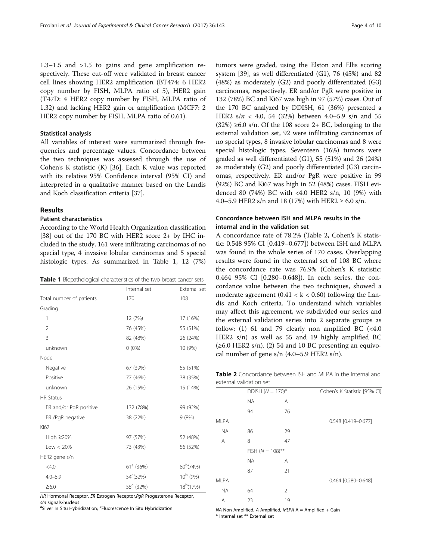1.3–1.5 and >1.5 to gains and gene amplification respectively. These cut-off were validated in breast cancer cell lines showing HER2 amplification (BT474: 6 HER2 copy number by FISH, MLPA ratio of 5), HER2 gain (T47D: 4 HER2 copy number by FISH, MLPA ratio of 1.32) and lacking HER2 gain or amplification (MCF7: 2 HER2 copy number by FISH, MLPA ratio of 0.61).

# Statistical analysis

All variables of interest were summarized through frequencies and percentage values. Concordance between the two techniques was assessed through the use of Cohen's K statistic (K) [\[36](#page-9-0)]. Each K value was reported with its relative 95% Confidence interval (95% CI) and interpreted in a qualitative manner based on the Landis and Koch classification criteria [[37\]](#page-9-0).

# Results

# Patient characteristics

According to the World Health Organization classification [[38](#page-9-0)] out of the 170 BC with HER2 score 2+ by IHC included in the study, 161 were infiltrating carcinomas of no special type, 4 invasive lobular carcinomas and 5 special histologic types. As summarized in Table 1, 12 (7%)

| Internal set                         | External set          |  |
|--------------------------------------|-----------------------|--|
| 170                                  | 108                   |  |
|                                      |                       |  |
| 12 (7%)                              | 17 (16%)              |  |
| 76 (45%)                             | 55 (51%)              |  |
| 82 (48%)                             | 26 (24%)              |  |
| $0(0\%)$                             | 10 (9%)               |  |
|                                      |                       |  |
| 67 (39%)                             | 55 (51%)              |  |
| 77 (46%)                             | 38 (35%)              |  |
| 26 (15%)                             | 15 (14%)              |  |
|                                      |                       |  |
| 132 (78%)                            | 99 (92%)              |  |
| 38 (22%)                             | 9(8%)                 |  |
|                                      |                       |  |
| 97 (57%)                             | 52 (48%)              |  |
| 73 (43%)                             | 56 (52%)              |  |
|                                      |                       |  |
| 80 <sup>b</sup> (74%)<br>$61a$ (36%) |                       |  |
| 54 <sup>a</sup> (32%)                | $10^b$ (9%)           |  |
| $55^a$ (32%)                         | 18 <sup>b</sup> (17%) |  |
|                                      |                       |  |

HR Hormonal Receptor, ER Estrogen Receptor, PgR Progesterone Receptor,

 $s/n$  signals/nucleus

Silver In Situ Hybridization; <sup>b</sup>Fluorescence In Situ Hybridization

tumors were graded, using the Elston and Ellis scoring system [[39](#page-9-0)], as well differentiated (G1), 76 (45%) and 82 (48%) as moderately (G2) and poorly differentiated (G3) carcinomas, respectively. ER and/or PgR were positive in 132 (78%) BC and Ki67 was high in 97 (57%) cases. Out of the 170 BC analyzed by DDISH, 61 (36%) presented a HER2  $s/n$  < 4.0, 54 (32%) between 4.0–5.9 s/n and 55  $(32\%) \geq 6.0$  s/n. Of the 108 score 2+ BC, belonging to the external validation set, 92 were infiltrating carcinomas of no special types, 8 invasive lobular carcinomas and 8 were special histologic types. Seventeen (16%) tumors were graded as well differentiated (G1), 55 (51%) and 26 (24%) as moderately (G2) and poorly differentiated (G3) carcinomas, respectively. ER and/or PgR were positive in 99 (92%) BC and Ki67 was high in 52 (48%) cases. FISH evidenced 80 (74%) BC with <4.0 HER2 s/n, 10 (9%) with 4.0–5.9 HER2 s/n and 18 (17%) with HER2  $\geq$  6.0 s/n.

# Concordance between ISH and MLPA results in the internal and in the validation set

A concordance rate of 78.2% (Table 2, Cohen's K statistic: 0.548 95% CI [0.419–0.677]) between ISH and MLPA was found in the whole series of 170 cases. Overlapping results were found in the external set of 108 BC where the concordance rate was 76.9% (Cohen's K statistic: 0.464 95% CI [0.280–0.648]). In each series, the concordance value between the two techniques, showed a moderate agreement  $(0.41 < k < 0.60)$  following the Landis and Koch criteria. To understand which variables may affect this agreement, we subdivided our series and the external validation series into 2 separate groups as follow: (1) 61 and 79 clearly non amplified BC  $( $4.0$$ HER2 s/n) as well as 55 and 19 highly amplified BC  $(\geq 6.0$  HER2 s/n). (2) 54 and 10 BC presenting an equivocal number of gene s/n  $(4.0-5.9$  HER2 s/n).

| <b>Table 2</b> Concordance between ISH and MLPA in the internal and |  |  |  |  |
|---------------------------------------------------------------------|--|--|--|--|
| external validation set                                             |  |  |  |  |

|             | DDISH $(N = 170)^*$  |    | Cohen's K Statistic [95% CI] |
|-------------|----------------------|----|------------------------------|
|             | <b>NA</b>            | Α  |                              |
|             | 94                   | 76 |                              |
| <b>MLPA</b> |                      |    | 0.548 [0.419-0.677]          |
| <b>NA</b>   | 86                   | 29 |                              |
| A           | 8                    | 47 |                              |
|             | FISH ( $N = 108$ )** |    |                              |
|             | <b>NA</b>            | Α  |                              |
|             | 87                   | 21 |                              |
| <b>MLPA</b> |                      |    | 0.464 [0.280-0.648]          |
| <b>NA</b>   | 64                   | 2  |                              |
| A           | 23                   | 19 |                              |
|             |                      |    |                              |

NA Non Amplified, A Amplified,  $MLPA$  A = Amplified + Gain

\* Internal set \*\* External set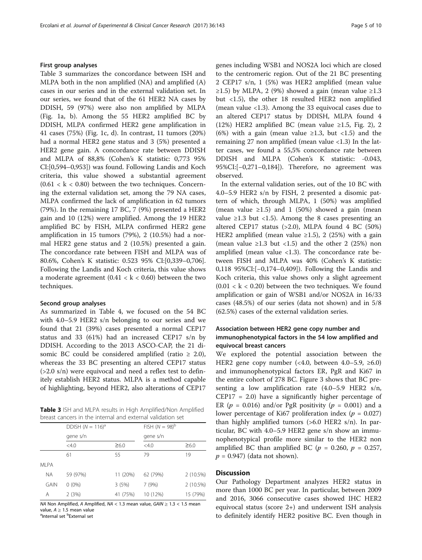# First group analyses

Table 3 summarizes the concordance between ISH and MLPA both in the non amplified (NA) and amplified (A) cases in our series and in the external validation set. In our series, we found that of the 61 HER2 NA cases by DDISH, 59 (97%) were also non amplified by MLPA (Fig. [1a, b\)](#page-5-0). Among the 55 HER2 amplified BC by DDISH, MLPA confirmed HER2 gene amplification in 41 cases (75%) (Fig. [1c, d\)](#page-5-0). In contrast, 11 tumors (20%) had a normal HER2 gene status and 3 (5%) presented a HER2 gene gain. A concordance rate between DDISH and MLPA of 88,8% (Cohen's K statistic: 0,773 95% CI:[0,594–0,953]) was found. Following Landis and Koch criteria, this value showed a substantial agreement  $(0.61 < k < 0.80)$  between the two techniques. Concerning the external validation set, among the 79 NA cases, MLPA confirmed the lack of amplification in 62 tumors (79%). In the remaining 17 BC, 7 (9%) presented a HER2 gain and 10 (12%) were amplified. Among the 19 HER2 amplified BC by FISH, MLPA confirmed HER2 gene amplification in 15 tumors (79%), 2 (10.5%) had a normal HER2 gene status and 2 (10.5%) presented a gain. The concordance rate between FISH and MLPA was of 80.6%, Cohen's K statistic: 0.523 95% CI:[0,339–0,706]. Following the Landis and Koch criteria, this value shows a moderate agreement  $(0.41 < k < 0.60)$  between the two techniques.

# Second group analyses

As summarized in Table [4,](#page-6-0) we focused on the 54 BC with 4.0–5.9 HER2 s/n belonging to our series and we found that 21 (39%) cases presented a normal CEP17 status and 33 (61%) had an increased CEP17 s/n by DDISH. According to the 2013 ASCO-CAP, the 21 disomic BC could be considered amplified (ratio  $\geq$  2.0), whereas the 33 BC presenting an altered CEP17 status (>2.0 s/n) were equivocal and need a reflex test to definitely establish HER2 status. MLPA is a method capable of highlighting, beyond HER2, also alterations of CEP17

Table 3 ISH and MLPA results in High Amplified/Non Amplified breast cancers in the internal and external validation set

|             | DDISH $(N = 116)^a$<br>gene s/n |            | $FISH (N = 98)^b$ |            |  |  |
|-------------|---------------------------------|------------|-------------------|------------|--|--|
|             |                                 |            | gene s/n          |            |  |  |
|             | $<$ 4.0                         | $\geq 6.0$ | < 4.0             | $\geq 6.0$ |  |  |
|             | 61                              | 55         | 79                | 19         |  |  |
| <b>MLPA</b> |                                 |            |                   |            |  |  |
| <b>NA</b>   | 59 (97%)                        | 11 (20%)   | 62 (79%)          | 2 (10.5%)  |  |  |
| <b>GAIN</b> | $0(0\%)$                        | 3(5%)      | 7(9%)             | 2 (10.5%)  |  |  |
| Α           | 2(3%)                           | 41 (75%)   | 10 (12%)          | 15 (79%)   |  |  |

NA Non Amplified, A Amplified, NA < 1.3 mean value,  $GAIN \ge 1.3$  < 1.5 mean value. A > 1.5 mean value value, A ≥ 1.5 mean value<br><sup>a</sup>Internal set <sup>b</sup>External set

genes including WSB1 and NOS2A loci which are closed to the centromeric region. Out of the 21 BC presenting 2 CEP17 s/n, 1 (5%) was HER2 amplified (mean value ≥1.5) by MLPA, 2 (9%) showed a gain (mean value ≥1.3 but <1.5), the other 18 resulted HER2 non amplified (mean value <1.3). Among the 33 equivocal cases due to an altered CEP17 status by DDISH, MLPA found 4 (12%) HER2 amplified BC (mean value  $\geq$ 1.5, Fig. [2\)](#page-6-0), 2 (6%) with a gain (mean value  $\geq$ 1.3, but <1.5) and the remaining 27 non amplified (mean value <1.3) In the latter cases, we found a 55,5% concordance rate between DDISH and MLPA (Cohen's K statistic: -0.043, 95%CI:[−0,271–0,184]). Therefore, no agreement was observed.

In the external validation series, out of the 10 BC with 4.0–5.9 HER2 s/n by FISH, 2 presented a disomic pattern of which, through MLPA, 1 (50%) was amplified (mean value  $\geq$ 1.5) and 1 (50%) showed a gain (mean value ≥1.3 but <1.5). Among the 8 cases presenting an altered CEP17 status (>2.0), MLPA found 4 BC (50%) HER2 amplified (mean value ≥1.5), 2 (25%) with a gain (mean value  $\geq$ 1.3 but <1.5) and the other 2 (25%) non amplified (mean value <1.3). The concordance rate between FISH and MLPA was 40% (Cohen's K statistic: 0,118 95%CI:[−0,174–0,409]). Following the Landis and Koch criteria, this value shows only a slight agreement  $(0.01 < k < 0.20)$  between the two techniques. We found amplification or gain of WSB1 and/or NOS2A in 16/33 cases (48.5%) of our series (data not shown) and in 5/8 (62.5%) cases of the external validation series.

# Association between HER2 gene copy number and immunophenotypical factors in the 54 low amplified and equivocal breast cancers

We explored the potential association between the HER2 gene copy number (<4.0, between 4.0–5.9, ≥6.0) and immunophenotypical factors ER, PgR and Ki67 in the entire cohort of 278 BC. Figure [3](#page-7-0) shows that BC presenting a low amplification rate  $(4.0-5.9$  HER2 s/n,  $CEP17 = 2.0$ ) have a significantly higher percentage of ER ( $p = 0.016$ ) and/or PgR positivity ( $p = 0.001$ ) and a lower percentage of Ki67 proliferation index ( $p = 0.027$ ) than highly amplified tumors  $(>6.0$  HER2 s/n). In particular, BC with 4.0–5.9 HER2 gene s/n show an immunophenotypical profile more similar to the HER2 non amplified BC than amplified BC ( $p = 0.260$ ,  $p = 0.257$ ,  $p = 0.947$ ) (data not shown).

# **Discussion**

Our Pathology Department analyzes HER2 status in more than 1000 BC per year. In particular, between 2009 and 2016, 3066 consecutive cases showed IHC HER2 equivocal status (score 2+) and underwent ISH analysis to definitely identify HER2 positive BC. Even though in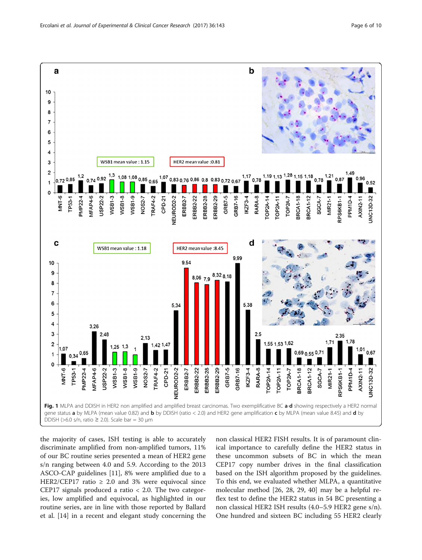<span id="page-5-0"></span>

the majority of cases, ISH testing is able to accurately discriminate amplified from non-amplified tumors, 11% of our BC routine series presented a mean of HER2 gene s/n ranging between 4.0 and 5.9. According to the 2013 ASCO-CAP guidelines [\[11\]](#page-8-0), 8% were amplified due to a HER2/CEP17 ratio  $\geq$  2.0 and 3% were equivocal since CEP17 signals produced a ratio < 2.0. The two categories, low amplified and equivocal, as highlighted in our routine series, are in line with those reported by Ballard et al. [\[14](#page-8-0)] in a recent and elegant study concerning the

non classical HER2 FISH results. It is of paramount clinical importance to carefully define the HER2 status in these uncommon subsets of BC in which the mean CEP17 copy number drives in the final classification based on the ISH algorithm proposed by the guidelines. To this end, we evaluated whether MLPA, a quantitative molecular method [[26, 28](#page-9-0), [29](#page-9-0), [40](#page-9-0)] may be a helpful reflex test to define the HER2 status in 54 BC presenting a non classical HER2 ISH results (4.0–5.9 HER2 gene s/n). One hundred and sixteen BC including 55 HER2 clearly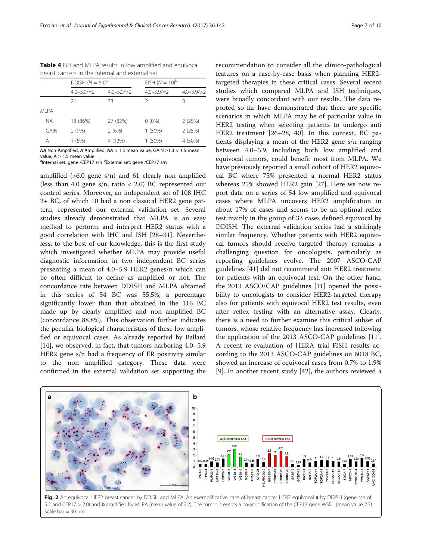<span id="page-6-0"></span>Table 4 ISH and MLPA results in low amplified and equivocal breast cancers in the internal and external set

|             | DDISH $(N = 54)^a$ |                   | FISH $(N = 10)^{b}$ |                   |
|-------------|--------------------|-------------------|---------------------|-------------------|
|             | $4.0 - 5.9 / = 2$  | $4.0 - 5.9 / > 2$ | $4.0 - 5.9 / = 2$   | $4.0 - 5.9 / > 2$ |
|             | 21                 | 33                | 2                   | 8                 |
| MI PA       |                    |                   |                     |                   |
| <b>NA</b>   | 18 (86%)           | 27 (82%)          | $0(0\%)$            | 2(25%)            |
| <b>GAIN</b> | 2(9%)              | 2(6%)             | $1(50\%)$           | 2(25%)            |
| Α           | 1(5%)              | 4 (12%)           | $1(50\%)$           | 4 (50%)           |

NA Non Amplified, A Amplified, NA < 1.3 mean value, GAIN ≥1.3 < 1.5 mean value. A > 1.5 mean value value, A ≥ 1.5 mean value<br><sup>a</sup>Internal set: gene /CEP17 s/n <sup>b</sup>External set: gene /CEP17 s/n

amplified  $(>6.0$  gene s/n) and 61 clearly non amplified (less than 4.0 gene s/n, ratio  $< 2.0$ ) BC represented our control series. Moreover, an independent set of 108 IHC 2+ BC, of which 10 had a non classical HER2 gene pattern, represented our external validation set. Several studies already demonstrated that MLPA is an easy method to perform and interpret HER2 status with a good correlation with IHC and ISH [[28](#page-9-0)–[31](#page-9-0)]. Nevertheless, to the best of our knowledge, this is the first study which investigated whether MLPA may provide useful diagnostic information in two independent BC series presenting a mean of 4.0–5.9 HER2 genes/n which can be often difficult to define as amplified or not. The concordance rate between DDISH and MLPA obtained in this series of 54 BC was 55.5%, a percentage significantly lower than that obtained in the 116 BC made up by clearly amplified and non amplified BC (concordance 88.8%). This observation further indicates the peculiar biological characteristics of these low amplified or equivocal cases. As already reported by Ballard [[14\]](#page-8-0), we observed, in fact, that tumors harboring 4.0–5.9 HER2 gene s/n had a frequency of ER positivity similar to the non amplified category. These data were confirmed in the external validation set supporting the

recommendation to consider all the clinico-pathological features on a case-by-case basis when planning HER2 targeted therapies in these critical cases. Several recent studies which compared MLPA and ISH techniques, were broadly concordant with our results. The data reported so far have demonstrated that there are specific scenarios in which MLPA may be of particular value in HER2 testing when selecting patients to undergo anti HER2 treatment [\[26](#page-9-0)–[28, 40](#page-9-0)]. In this context, BC patients displaying a mean of the HER2 gene s/n ranging between 4.0–5.9, including both low amplified and equivocal tumors, could benefit most from MLPA. We have previously reported a small cohort of HER2 equivocal BC where 75% presented a normal HER2 status whereas 25% showed HER2 gain [\[27\]](#page-9-0). Here we now report data on a series of 54 low amplified and equivocal cases where MLPA uncovers HER2 amplification in about 17% of cases and seems to be an optimal reflex test mainly in the group of 33 cases defined equivocal by DDISH. The external validation series had a strikingly similar frequency. Whether patients with HER2 equivocal tumors should receive targeted therapy remains a challenging question for oncologists, particularly as reporting guidelines evolve. The 2007 ASCO-CAP guidelines [[41\]](#page-9-0) did not recommend anti HER2 treatment for patients with an equivocal test. On the other hand, the 2013 ASCO/CAP guidelines [[11\]](#page-8-0) opened the possibility to oncologists to consider HER2-targeted therapy also for patients with equivocal HER2 test results, even after reflex testing with an alternative assay. Clearly, there is a need to further examine this critical subset of tumors, whose relative frequency has increased following the application of the 2013 ASCO-CAP guidelines [\[11](#page-8-0)]. A recent re-evaluation of HERA trial FISH results according to the 2013 ASCO-CAP guidelines on 6018 BC, showed an increase of equivocal cases from 0.7% to 1.9% [[9\]](#page-8-0). In another recent study [[42\]](#page-9-0), the authors reviewed a



Fig. 2 An equivocal HER2 breast cancer by DDISH and MLPA. An exemplificative case of breast cancer HER2 equivocal a by DDISH (gene s/n of 5.2 and CEP17 > 2.0) and **b** amplified by MLPA (mean value of 2.2). The tumor presents a co-amplification of the CEP17 gene WSB1 (mean value 2.3). Scale bar  $= 30 \mu m$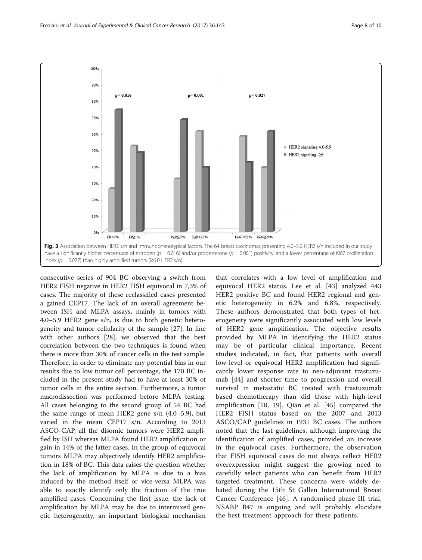<span id="page-7-0"></span>

consecutive series of 904 BC observing a switch from HER2 FISH negative in HER2 FISH equivocal in 7,3% of cases. The majority of these reclassified cases presented a gained CEP17. The lack of an overall agreement between ISH and MLPA assays, mainly in tumors with 4.0–5.9 HER2 gene s/n, is due to both genetic heterogeneity and tumor cellularity of the sample [\[27](#page-9-0)]. In line with other authors [[28\]](#page-9-0), we observed that the best correlation between the two techniques is found when there is more than 30% of cancer cells in the test sample. Therefore, in order to eliminate any potential bias in our results due to low tumor cell percentage, the 170 BC included in the present study had to have at least 30% of tumor cells in the entire section. Furthermore, a tumor macrodissection was performed before MLPA testing. All cases belonging to the second group of 54 BC had the same range of mean HER2 gene s/n (4.0–5.9), but varied in the mean CEP17 s/n. According to 2013 ASCO-CAP, all the disomic tumors were HER2 amplified by ISH whereas MLPA found HER2 amplification or gain in 14% of the latter cases. In the group of equivocal tumors MLPA may objectively identify HER2 amplification in 18% of BC. This data raises the question whether the lack of amplification by MLPA is due to a bias induced by the method itself or vice-versa MLPA was able to exactly identify only the fraction of the true amplified cases. Concerning the first issue, the lack of amplification by MLPA may be due to intermixed genetic heterogeneity, an important biological mechanism

that correlates with a low level of amplification and equivocal HER2 status. Lee et al. [\[43](#page-9-0)] analyzed 443 HER2 positive BC and found HER2 regional and genetic heterogeneity in 6.2% and 6.8%, respectively. These authors demonstrated that both types of heterogeneity were significantly associated with low levels of HER2 gene amplification. The objective results provided by MLPA in identifying the HER2 status may be of particular clinical importance. Recent studies indicated, in fact, that patients with overall low-level or equivocal HER2 amplification had significantly lower response rate to neo-adjuvant trastuzumab [\[44](#page-9-0)] and shorter time to progression and overall survival in metastatic BC treated with trastuzumab based chemotherapy than did those with high-level amplification [[18, 19\]](#page-9-0). Qian et al. [[45\]](#page-9-0) compared the HER2 FISH status based on the 2007 and 2013 ASCO/CAP guidelines in 1931 BC cases. The authors noted that the last guidelines, although improving the identification of amplified cases, provided an increase in the equivocal cases. Furthermore, the observation that FISH equivocal cases do not always reflect HER2 overexpression might suggest the growing need to carefully select patients who can benefit from HER2 targeted treatment. These concerns were widely debated during the 15th St Gallen International Breast Cancer Conference [[46](#page-9-0)]. A randomised phase III trial, NSABP B47 is ongoing and will probably elucidate the best treatment approach for these patients.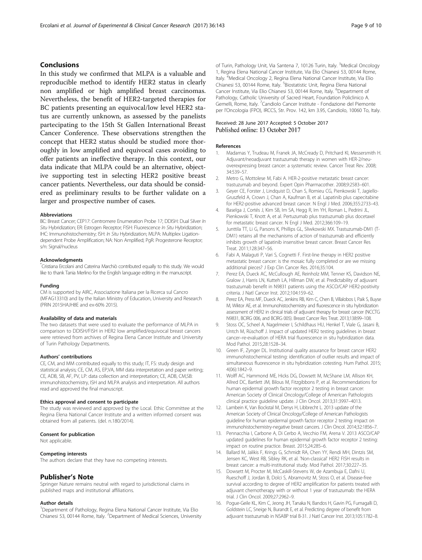# <span id="page-8-0"></span>Conclusions

In this study we confirmed that MLPA is a valuable and reproducible method to identify HER2 status in clearly non amplified or high amplified breast carcinomas. Nevertheless, the benefit of HER2-targeted therapies for BC patients presenting an equivocal/low level HER2 status are currently unknown, as assessed by the panelists partecipating to the 15th St Gallen International Breast Cancer Conference. These observations strengthen the concept that HER2 status should be studied more thoroughly in low amplified and equivocal cases avoiding to offer patients an ineffective therapy. In this context, our data indicate that MLPA could be an alternative, objective supporting test in selecting HER2 positive breast cancer patients. Nevertheless, our data should be considered as preliminary results to be further validate on a larger and prospective number of cases.

## Abbreviations

BC: Breast Cancer; CEP17: Centromere Enumeration Probe 17; DDISH: Dual Silver In Situ Hybridization; ER: Estrogen Receptor; FISH: Fluorescence In Situ Hybridization; IHC: Immunohistochemistry; ISH: In Situ Hybridization; MLPA: Multiplex Ligationdependent Probe Amplification; NA: Non Amplified; PgR: Progesterone Receptor; s/n: Signal/nucleus

## Acknowledgments

\* Cristiana Ercolani and Caterina Marchiò contributed equally to this study. We would like to thank Tania Merlino for the English language editing in the manuscript.

### Funding

CM is supported by AIRC, Associazione Italiana per la Ricerca sul Cancro (MFAG13310) and by the Italian Ministry of Education, University and Research (PRIN 2015HAJH8E and ex-60% 2015).

#### Availability of data and materials

The two datasets that were used to evaluate the performance of MLPA in comparison to DDISH/FISH in HER2 low amplified/equivocal breast cancers were retrieved from archives of Regina Elena Cancer Institute and University of Turin Pathology Departments.

## Authors' contributions

CE, CM, and MM contributed equally to this study; IT, FS: study design and statistical analysis; CE, CM, AS, EP,VA, MM data interpretation and paper writing; CE, ADB, SB, AF, PV, LP: data collection and interpretation; CE, ADB, CM,SB: immunohistochemistry, ISH and MLPA analysis and interpretation. All authors read and approved the final manuscript.

#### Ethics approval and consent to participate

The study was reviewed and approved by the Local. Ethic Committee at the Regina Elena National Cancer Institute and a written informed consent was obtained from all patients. (del. n.180/2014).

## Consent for publication

Not applicable.

## Competing interests

The authors declare that they have no competing interests.

## Publisher's Note

Springer Nature remains neutral with regard to jurisdictional claims in published maps and institutional affiliations.

#### Author details

<sup>1</sup>Department of Pathology, Regina Elena National Cancer Institute, Via Elio Chianesi 53, 00144 Rome, Italy. <sup>2</sup>Department of Medical Sciences, University

of Turin, Pathology Unit, Via Santena 7, 10126 Turin, Italy. <sup>3</sup>Medical Oncology 1, Regina Elena National Cancer Institute, Via Elio Chianesi 53, 00144 Rome, Italy. <sup>4</sup>Medical Oncology 2, Regina Elena National Cancer Institute, Via Elic Chianesi 53, 00144 Rome, Italy. <sup>5</sup>Biostatistic Unit, Regina Elena National Cancer Institute, Via Elio Chianesi 53, 00144 Rome, Italy. <sup>6</sup>Department of Pathology, Catholic University of Sacred Heart, Foundation Policlinico A. Gemelli, Rome, Italy. <sup>7</sup>Candiolo Cancer Institute - Fondazione del Piemonte per l'Oncologia (FPO), IRCCS, Str. Prov. 142, km 3.95, Candiolo, 10060 To, Italy.

# Received: 28 June 2017 Accepted: 5 October 2017 Published online: 13 October 2017

## References

- 1. Madarnas Y, Trudeau M, Franek JA, McCready D, Pritchard KI, Messersmith H. Adjuvant/neoadjuvant trastuzumab therapy in women with HER-2/neuoverexpressing breast cancer: a systematic review. Cancer Treat Rev. 2008; 34:539–57.
- 2. Metro G, Mottolese M, Fabi A. HER-2-positive metastatic breast cancer: trastuzumab and beyond. Expert Opin Pharmacother. 2008;9:2583–601.
- 3. Geyer CE, Forster J, Lindquist D, Chan S, Romieu CG, Pienkowski T, Jagiello-Gruszfeld A, Crown J, Chan A, Kaufman B, et al. Lapatinib plus capecitabine for HER2-positive advanced breast cancer. N Engl J Med. 2006;355:2733–43.
- 4. Baselga J, Cortés J, Kim SB, Im SA, Hegg R, Im YH, Roman L, Pedrini JL, Pienkowski T, Knott A, et al. Pertuzumab plus trastuzumab plus docetaxel for metastatic breast cancer. N Engl J Med. 2012;366:109–19.
- 5. Junttila TT, Li G, Parsons K, Phillips GL, Sliwkowski MX. Trastuzumab-DM1 (T-DM1) retains all the mechanisms of action of trastuzumab and efficiently inhibits growth of lapatinib insensitive breast cancer. Breast Cancer Res Treat. 2011;128:347–56.
- 6. Fabi A, Malaguti P, Vari S, Cognetti F. First-line therapy in HER2 positive metastatic breast cancer: is the mosaic fully completed or are we missing additional pieces? J Exp Clin Cancer Res. 2016;35:104.
- 7. Perez EA, Dueck AC, McCullough AE, Reinholz MM, Tenner KS, Davidson NE, Gralow J, Harris LN, Kutteh LA, Hillman DW, et al. Predictability of adjuvant trastuzumab benefit in N9831 patients using the ASCO/CAP HER2-positivity criteria. J Natl Cancer Inst. 2012;104:159–62.
- 8. Perez EA, Press MF, Dueck AC, Jenkins RB, Kim C, Chen B, Villalobos I, Paik S, Buyse M, Wiktor AE, et al. Immunohistochemistry and fluorescence in situ hybridization assessment of HER2 in clinical trials of adjuvant therapy for breast cancer (NCCTG N9831, BCIRG 006, and BCIRG 005). Breast Cancer Res Treat. 2013;138:99–108.
- Stoss OC, Scheel A, Nagelmeier I, Schildhaus HU, Henkel T, Viale G, Jasani B, Untch M, Rüschoff J. Impact of updated HER2 testing guidelines in breast cancer–re-evaluation of HERA trial fluorescence in situ hybridization data. Mod Pathol. 2015;28:1528–34.
- 10. Green IF, Zynger DL. Institutional quality assurance for breast cancer HER2 immunohistochemical testing: identification of outlier results and impact of simultaneous fluorescence in situ hybridization cotesting. Hum Pathol. 2015; 4(06):1842–9.
- 11. Wolff AC, Hammond ME, Hicks DG, Dowsett M, McShane LM, Allison KH, Allred DC, Bartlett JM, Bilous M, Fitzgibbons P, et al. Recommendations for human epidermal growth factor receptor 2 testing in breast cancer: American Society of Clinical Oncology/College of American Pathologists clinical practice guideline update. J Clin Oncol. 2013;31:3997–4013.
- 12. Lambein K, Van Bockstal M, Denys H, Libbrecht L. 2013 update of the American Society of Clinical Oncology/College of American Pathologists guideline for human epidermal growth factor receptor 2 testing: impact on immunohistochemistry-negative breast cancers. J Clin Oncol. 2014;32:1856–7.
- 13. Pennacchia I, Carbone A, Di Cerbo A, Vecchio FM, Arena V. 2013 ASCO/CAP updated guidelines for human epidermal growth factor receptor 2 testing: impact on routine practice. Breast. 2015;24:285–6.
- 14. Ballard M, Jalikis F, Krings G, Schmidt RA, Chen YY, Rendi MH, Dintzis SM, Jensen KC, West RB, Sibley RK, et al. 'Non-classical' HER2 FISH results in breast cancer: a multi-institutional study. Mod Pathol. 2017;30:227–35.
- 15. Dowsett M, Procter M, McCaskill-Stevens W, de Azambuja E, Dafni U, Rueschoff J, Jordan B, Dolci S, Abramovitz M, Stoss O, et al. Disease-free survival according to degree of HER2 amplification for patients treated with adjuvant chemotherapy with or without 1 year of trastuzumab: the HERA trial. J Clin Oncol. 2009;27:2962–9.
- 16. Pogue-Geile KL, Kim C, Jeong JH, Tanaka N, Bandos H, Gavin PG, Fumagalli D, Goldstein LC, Sneige N, Burandt E, et al. Predicting degree of benefit from adjuvant trastuzumab in NSABP trial B-31. J Natl Cancer Inst. 2013;105:1782–8.